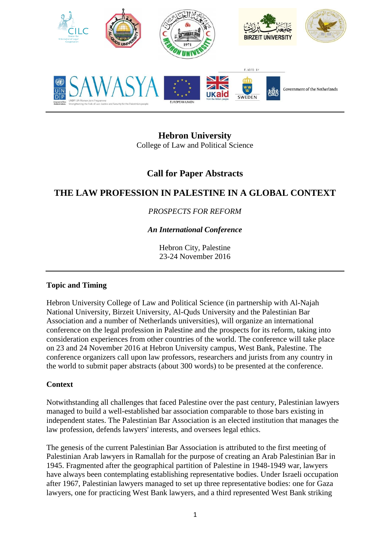

**Hebron University** College of Law and Political Science

# **Call for Paper Abstracts**

# **THE LAW PROFESSION IN PALESTINE IN A GLOBAL CONTEXT**

# *PROSPECTS FOR REFORM*

# *An International Conference*

Hebron City, Palestine 23-24 November 2016

# **Topic and Timing**

Hebron University College of Law and Political Science (in partnership with Al-Najah National University, Birzeit University, Al-Quds University and the Palestinian Bar Association and a number of Netherlands universities), will organize an international conference on the legal profession in Palestine and the prospects for its reform, taking into consideration experiences from other countries of the world. The conference will take place on 23 and 24 November 2016 at Hebron University campus, West Bank, Palestine. The conference organizers call upon law professors, researchers and jurists from any country in the world to submit paper abstracts (about 300 words) to be presented at the conference.

# **Context**

Notwithstanding all challenges that faced Palestine over the past century, Palestinian lawyers managed to build a well-established bar association comparable to those bars existing in independent states. The Palestinian Bar Association is an elected institution that manages the law profession, defends lawyers' interests, and oversees legal ethics.

The genesis of the current Palestinian Bar Association is attributed to the first meeting of Palestinian Arab lawyers in Ramallah for the purpose of creating an Arab Palestinian Bar in 1945. Fragmented after the geographical partition of Palestine in 1948-1949 war, lawyers have always been contemplating establishing representative bodies. Under Israeli occupation after 1967, Palestinian lawyers managed to set up three representative bodies: one for Gaza lawyers, one for practicing West Bank lawyers, and a third represented West Bank striking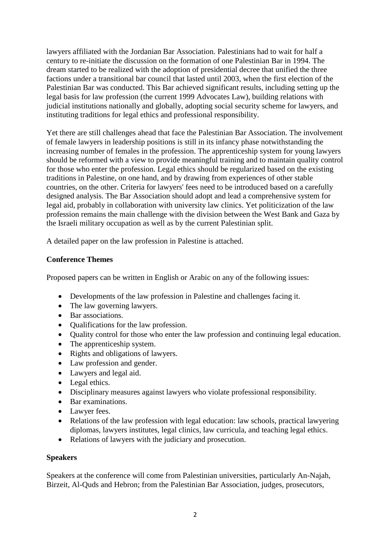lawyers affiliated with the Jordanian Bar Association. Palestinians had to wait for half a century to re-initiate the discussion on the formation of one Palestinian Bar in 1994. The dream started to be realized with the adoption of presidential decree that unified the three factions under a transitional bar council that lasted until 2003, when the first election of the Palestinian Bar was conducted. This Bar achieved significant results, including setting up the legal basis for law profession (the current 1999 Advocates Law), building relations with judicial institutions nationally and globally, adopting social security scheme for lawyers, and instituting traditions for legal ethics and professional responsibility.

Yet there are still challenges ahead that face the Palestinian Bar Association. The involvement of female lawyers in leadership positions is still in its infancy phase notwithstanding the increasing number of females in the profession. The apprenticeship system for young lawyers should be reformed with a view to provide meaningful training and to maintain quality control for those who enter the profession. Legal ethics should be regularized based on the existing traditions in Palestine, on one hand, and by drawing from experiences of other stable countries, on the other. Criteria for lawyers' fees need to be introduced based on a carefully designed analysis. The Bar Association should adopt and lead a comprehensive system for legal aid, probably in collaboration with university law clinics. Yet politicization of the law profession remains the main challenge with the division between the West Bank and Gaza by the Israeli military occupation as well as by the current Palestinian split.

A detailed paper on the law profession in Palestine is attached.

#### **Conference Themes**

Proposed papers can be written in English or Arabic on any of the following issues:

- Developments of the law profession in Palestine and challenges facing it.
- The law governing lawyers.
- Bar associations.
- Qualifications for the law profession.
- Quality control for those who enter the law profession and continuing legal education.
- The apprenticeship system.
- Rights and obligations of lawyers.
- Law profession and gender.
- Lawyers and legal aid.
- Legal ethics.
- Disciplinary measures against lawyers who violate professional responsibility.
- Bar examinations.
- Lawyer fees.
- Relations of the law profession with legal education: law schools, practical lawyering diplomas, lawyers institutes, legal clinics, law curricula, and teaching legal ethics.
- Relations of lawyers with the judiciary and prosecution.

#### **Speakers**

Speakers at the conference will come from Palestinian universities, particularly An-Najah, Birzeit, Al-Quds and Hebron; from the Palestinian Bar Association, judges, prosecutors,